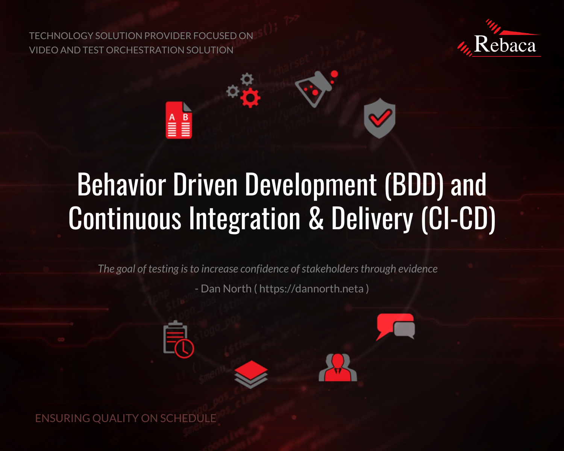TECHNOLOGY SOLUTION PROVIDER FOCUSED ON VIDEO AND TEST ORCHESTRATION SOLUTION



# $\stackrel{A}{\equiv}$

# Behavior Driven Development (BDD) and Continuous Integration & Delivery (CI-CD)

*The goal of testing is to increase confidence of stakeholders through evidence*

- Dan North ( https://dannorth.neta )

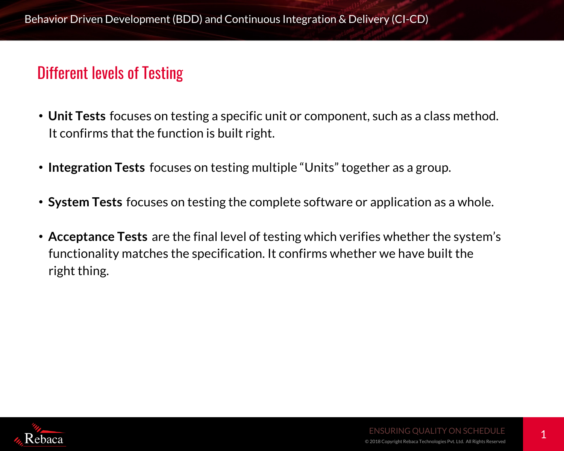#### Different levels of Testing

- **Unit Tests** focuses on testing a specific unit or component, such as a class method. It confirms that the function is built right.
- **Integration Tests** focuses on testing multiple "Units" together as a group.
- **System Tests** focuses on testing the complete software or application as a whole.
- **Acceptance Tests** are the final level of testing which verifies whether the system's functionality matches the specification. It confirms whether we have built the right thing.

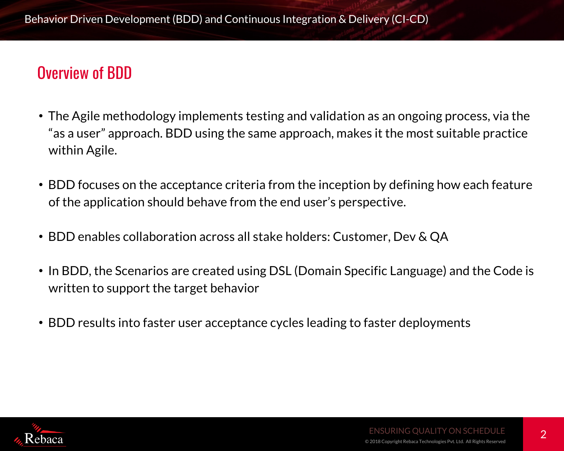#### Overview of BDD

- The Agile methodology implements testing and validation as an ongoing process, via the "as a user" approach. BDD using the same approach, makes it the most suitable practice within Agile.
- BDD focuses on the acceptance criteria from the inception by defining how each feature of the application should behave from the end user's perspective.
- BDD enables collaboration across all stake holders: Customer, Dev & QA
- In BDD, the Scenarios are created using DSL (Domain Specific Language) and the Code is written to support the target behavior
- BDD results into faster user acceptance cycles leading to faster deployments

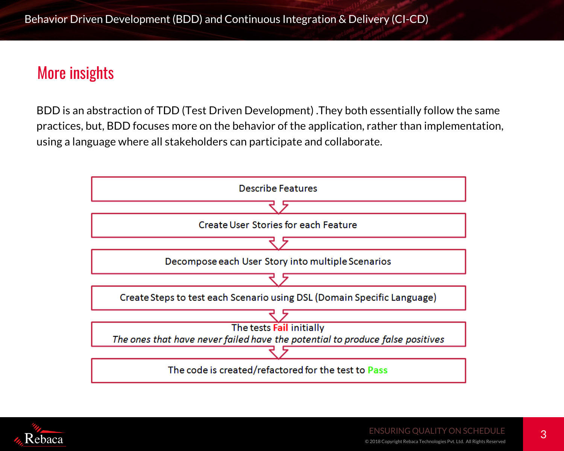#### More insights

BDD is an abstraction of TDD (Test Driven Development) .They both essentially follow the same practices, but, BDD focuses more on the behavior of the application, rather than implementation, using a language where all stakeholders can participate and collaborate.



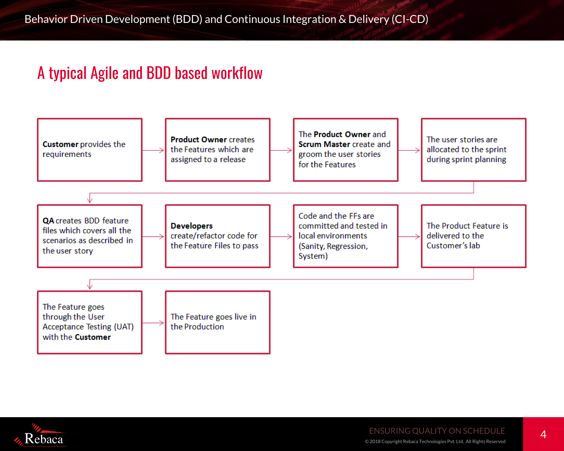#### A typical Agile and BDD based workflow



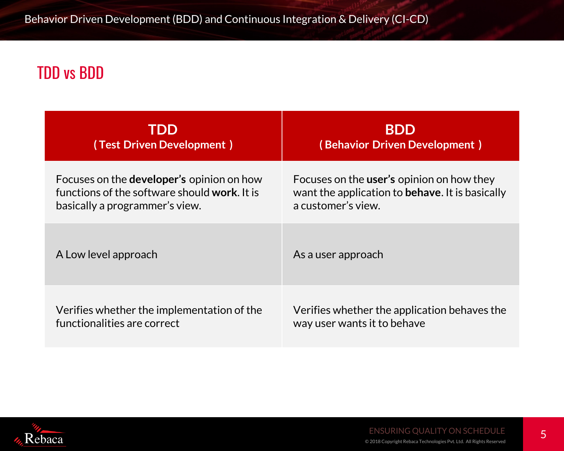## TDD vs BDD

| TDD                                              | <b>BDD</b>                                              |
|--------------------------------------------------|---------------------------------------------------------|
| (Test Driven Development)                        | (Behavior Driven Development)                           |
| Focuses on the <b>developer's</b> opinion on how | Focuses on the <b>user's</b> opinion on how they        |
| functions of the software should work. It is     | want the application to <b>behave</b> . It is basically |
| basically a programmer's view.                   | a customer's view.                                      |
| A Low level approach                             | As a user approach                                      |
| Verifies whether the implementation of the       | Verifies whether the application behaves the            |
| functionalities are correct                      | way user wants it to behave                             |

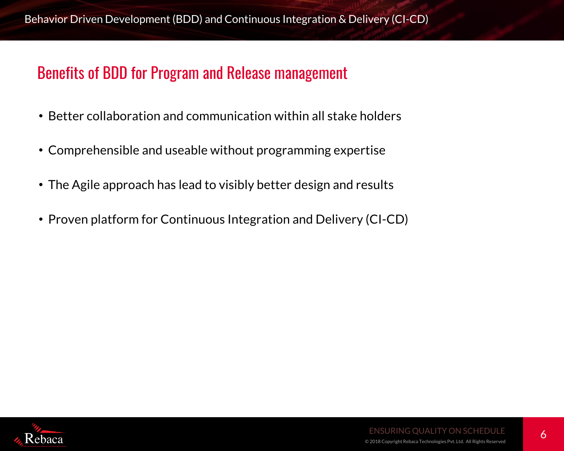#### Benefits of BDD for Program and Release management

- Better collaboration and communication within all stake holders
- Comprehensible and useable without programming expertise
- The Agile approach has lead to visibly better design and results
- Proven platform for Continuous Integration and Delivery (CI-CD)

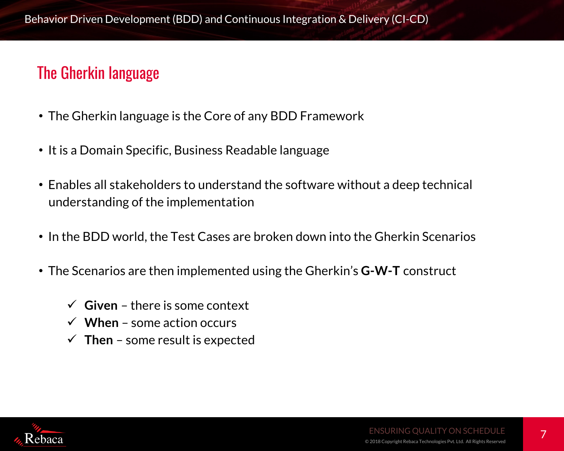#### The Gherkin language

- The Gherkin language is the Core of any BDD Framework
- It is a Domain Specific, Business Readable language
- Enables all stakeholders to understand the software without a deep technical understanding of the implementation
- In the BDD world, the Test Cases are broken down into the Gherkin Scenarios
- The Scenarios are then implemented using the Gherkin's **G-W-T** construct
	- $\checkmark$  Given there is some context
	- $\checkmark$  When some action occurs
	- $\checkmark$  Then some result is expected

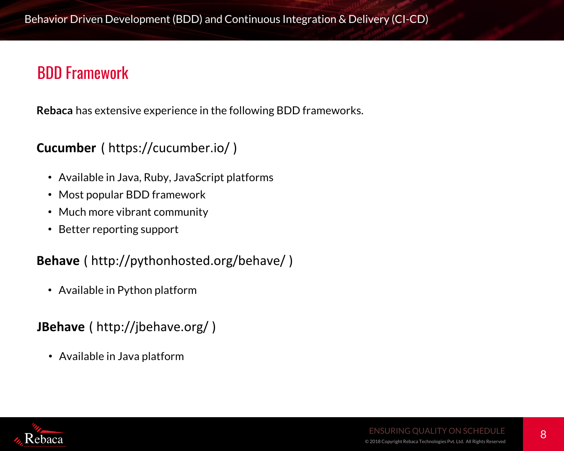#### BDD Framework

**Rebaca** has extensive experience in the following BDD frameworks.

#### **Cucumber** ( https://cucumber.io/ )

- Available in Java, Ruby, JavaScript platforms
- Most popular BDD framework
- Much more vibrant community
- Better reporting support

#### **Behave** ( http://pythonhosted.org/behave/ )

• Available in Python platform

**JBehave** ( http://jbehave.org/ )

• Available in Java platform

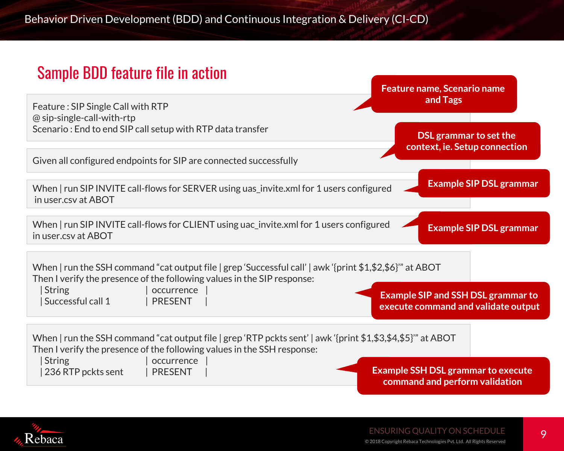#### Sample BDD feature file in action



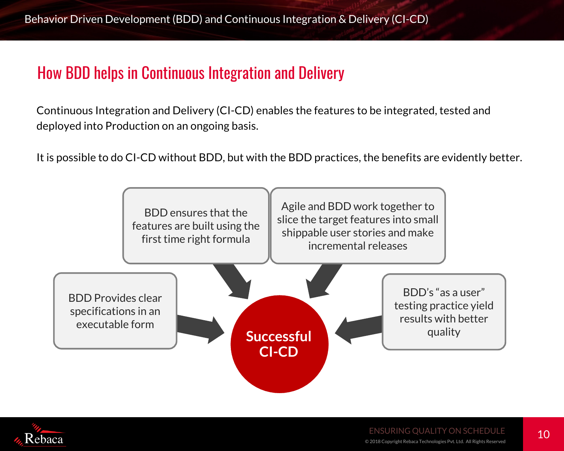#### How BDD helps in Continuous Integration and Delivery

Continuous Integration and Delivery (CI-CD) enables the features to be integrated, tested and deployed into Production on an ongoing basis.

It is possible to do CI-CD without BDD, but with the BDD practices, the benefits are evidently better.



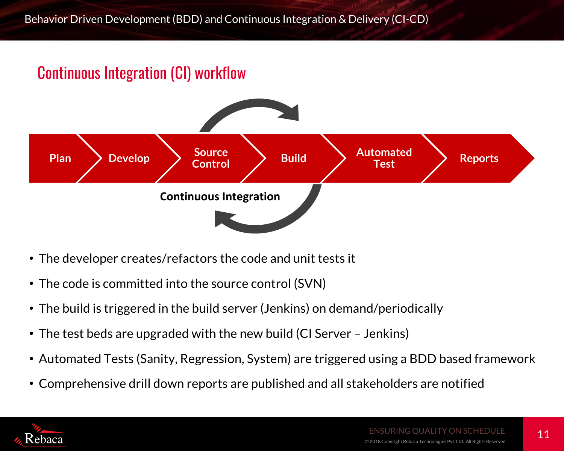### Continuous Integration (CI) workflow



- The developer creates/refactors the code and unit tests it
- The code is committed into the source control (SVN)
- The build is triggered in the build server (Jenkins) on demand/periodically
- The test beds are upgraded with the new build (CI Server Jenkins)
- Automated Tests (Sanity, Regression, System) are triggered using a BDD based framework
- Comprehensive drill down reports are published and all stakeholders are notified